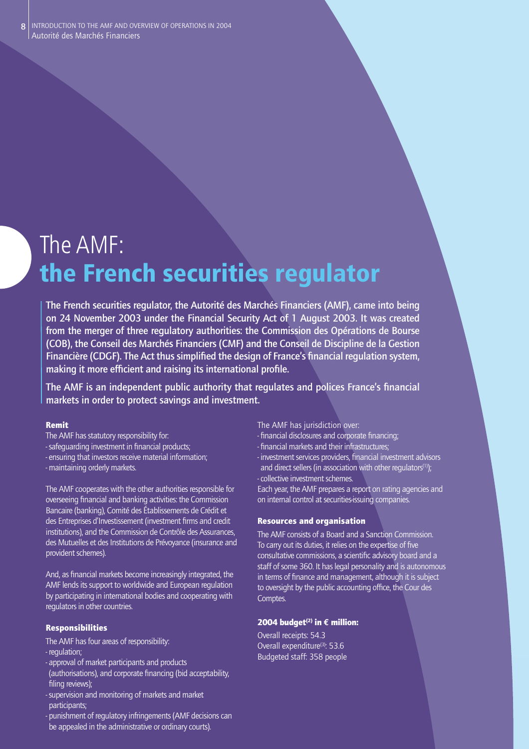# The AMF: **the French securities regulator**

**The French securities regulator, the Autorité des Marchés Financiers (AMF), came into being on 24 November 2003 under the Financial Security Act of 1 August 2003. It was created from the merger of three regulatory authorities: the Commission des Opérations de Bourse (COB), the Conseil des Marchés Financiers (CMF) and the Conseil de Discipline de la Gestion**  Financière (CDGF). The Act thus simplified the design of France's financial regulation system, making it more efficient and raising its international profile.

The AMF is an independent public authority that regulates and polices France's financial **markets in order to protect savings and investment.** 

# Remit

- The AMF has statutory responsibility for:
- safequarding investment in financial products;
- ensuring that investors receive material information;
- maintaining orderly markets.

The AMF cooperates with the other authorities responsible for overseeing financial and banking activities: the Commission Bancaire (banking), Comité des Établissements de Crédit et des Entreprises d'Investissement (investment firms and credit institutions), and the Commission de Contrôle des Assurances, des Mutuelles et des Institutions de Prévoyance (insurance and provident schemes).

And, as financial markets become increasingly integrated, the AMF lends its support to worldwide and European regulation by participating in international bodies and cooperating with regulators in other countries.

# Responsibilities

- The AMF has four areas of responsibility:
- regulation;
- approval of market participants and products
- (authorisations), and corporate financing (bid acceptability, filing reviews);
- supervision and monitoring of markets and market participants;
- punishment of regulatory infringements (AMF decisions can be appealed in the administrative or ordinary courts).

The AMF has jurisdiction over:

- financial disclosures and corporate financing;
- financial markets and their infrastructures;
- investment services providers, financial investment advisors and direct sellers (in association with other regulators $(1)$ ); - collective investment schemes.

Each year, the AMF prepares a report on rating agencies and on internal control at securities-issuing companies.

# Resources and organisation

The AMF consists of a Board and a Sanction Commission. To carry out its duties, it relies on the expertise of five consultative commissions, a scientific advisory board and a staff of some 360. It has legal personality and is autonomous in terms of finance and management, although it is subject to oversight by the public accounting office, the Cour des Comptes.

# 2004 budget<sup>(2)</sup> in  $\epsilon$  million:

Overall receipts: 54.3 Overall expenditure<sup>(3)</sup>: 53.6 Budgeted staff: 358 people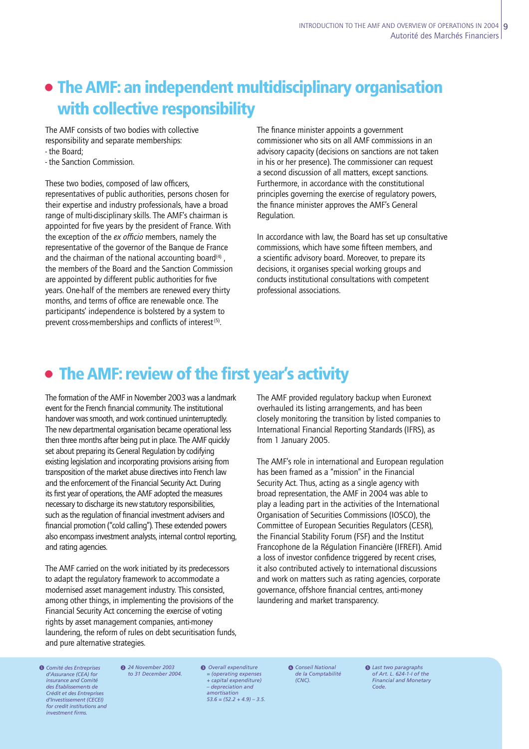# **• The AMF: an independent multidisciplinary organisation with collective responsibility**

The AMF consists of two bodies with collective responsibility and separate memberships: - the Board;

- the Sanction Commission.

These two bodies, composed of law officers. representatives of public authorities, persons chosen for their expertise and industry professionals, have a broad range of multi-disciplinary skills. The AMF's chairman is appointed for five years by the president of France. With the exception of the *ex officio* members, namely the representative of the governor of the Banque de France and the chairman of the national accounting board $(4)$ , the members of the Board and the Sanction Commission are appointed by different public authorities for five years. One-half of the members are renewed every thirty months, and terms of office are renewable once. The participants' independence is bolstered by a system to prevent cross-memberships and conflicts of interest<sup>(5)</sup>.

The finance minister appoints a government commissioner who sits on all AMF commissions in an advisory capacity (decisions on sanctions are not taken in his or her presence). The commissioner can request a second discussion of all matters, except sanctions. Furthermore, in accordance with the constitutional principles governing the exercise of regulatory powers, the finance minister approves the AMF's General Regulation.

In accordance with law, the Board has set up consultative commissions, which have some fifteen members, and a scientific advisory board. Moreover, to prepare its decisions, it organises special working groups and conducts institutional consultations with competent professional associations.

# **• The AMF: review of the first year's activity**

The formation of the AMF in November 2003 was a landmark event for the French financial community. The institutional handover was smooth, and work continued uninterruptedly. The new departmental organisation became operational less then three months after being put in place. The AMF quickly set about preparing its General Regulation by codifying existing legislation and incorporating provisions arising from transposition of the market abuse directives into French law and the enforcement of the Financial Security Act. During its first year of operations, the AMF adopted the measures necessary to discharge its new statutory responsibilities, such as the regulation of financial investment advisers and financial promotion ("cold calling"). These extended powers also encompass investment analysts, internal control reporting, and rating agencies.

The AMF carried on the work initiated by its predecessors to adapt the regulatory framework to accommodate a modernised asset management industry. This consisted, among other things, in implementing the provisions of the Financial Security Act concerning the exercise of voting rights by asset management companies, anti-money laundering, the reform of rules on debt securitisation funds, and pure alternative strategies.

The AMF provided regulatory backup when Euronext overhauled its listing arrangements, and has been closely monitoring the transition by listed companies to International Financial Reporting Standards (IFRS), as from 1 January 2005.

The AMF's role in international and European regulation has been framed as a "mission" in the Financial Security Act. Thus, acting as a single agency with broad representation, the AMF in 2004 was able to play a leading part in the activities of the International Organisation of Securities Commissions (IOSCO), the Committee of European Securities Regulators (CESR), the Financial Stability Forum (FSF) and the Institut Francophone de la Régulation Financière (IFREFI). Amid a loss of investor confidence triggered by recent crises, it also contributed actively to international discussions and work on matters such as rating agencies, corporate governance, offshore financial centres, anti-money laundering and market transparency.

 *Comité des Entreprises*  1 *d'Assurance (CEA) for insurance and Comité des Établissements de*  **Crédit et des Entrepris** *d'Investissement (CECEI) for credit institutions and investment fi rms.*

*24 November 2003*  2 *to 31 December 2004.*  *Overall expenditure*  3 *Conseil National = (operating expenses + capital expenditure) – depreciation and amortisation 53.6 = (52.2 + 4.9) – 3.5.*

*de la Comptabilité (CNC).*

4 *Last two paragraphs of Art. L. 624-1-I of the*  5 *Financial and Monetary Code.*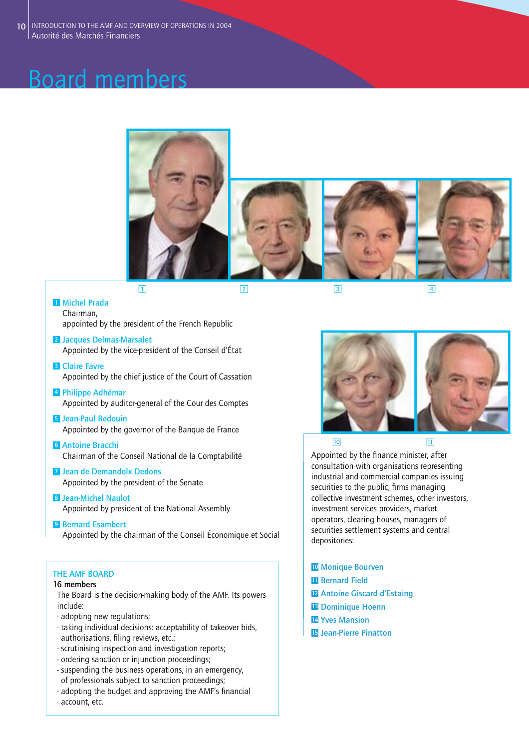# Board members







**1 234**



**<sup>2</sup> Jacques Delmas-Marsalet** Appointed by the vice-president of the Conseil d'État

- **<sup>3</sup> Claire Favre** Appointed by the chief justice of the Court of Cassation
- **<sup>4</sup> Philippe Adhémar** Appointed by auditor-general of the Cour des Comptes
- **<sup>5</sup> Jean-Paul Redouin** Appointed by the governor of the Banque de France
- **<sup>6</sup> Antoine Bracchi** Chairman of the Conseil National de la Comptabilité
- **<sup>7</sup> Jean de Demandolx Dedons** Appointed by the president of the Senate
- **<sup>8</sup> Jean-Michel Naulot** Appointed by president of the National Assembly
- **<sup>9</sup> Bernard Esambert** Appointed by the chairman of the Conseil Économique et Social

# **THE AMF BOARD**

# **16 members**

The Board is the decision-making body of the AMF. Its powers include:

- adopting new regulations;
- taking individual decisions: acceptability of takeover bids, authorisations, filing reviews, etc.;
- scrutinising inspection and investigation reports;
- ordering sanction or injunction proceedings;
- suspending the business operations, in an emergency, of professionals subject to sanction proceedings;
- adopting the budget and approving the AMF's financial account, etc.



Appointed by the finance minister, after consultation with organisations representing industrial and commercial companies issuing securities to the public, firms managing collective investment schemes, other investors, investment services providers, market operators, clearing houses, managers of securities settlement systems and central depositories:

- **<sup>10</sup> Monique Bourven**
- **<sup>11</sup> Bernard Field**
- **<sup>12</sup> Antoine Giscard d'Estaing**
- **<sup>13</sup> Dominique Hoenn**
- **<sup>14</sup> Yves Mansion**
- **15 Jean-Pierre Pinatton**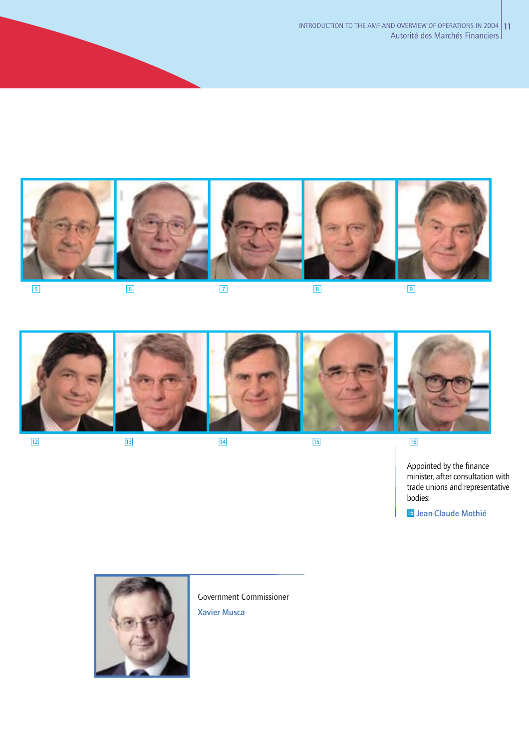

**5 6789**





Appointed by the finance minister, after consultation with trade unions and representative bodies:

**16 Jean-Claude Mothié**



Government Commissioner

**Xavier Musca**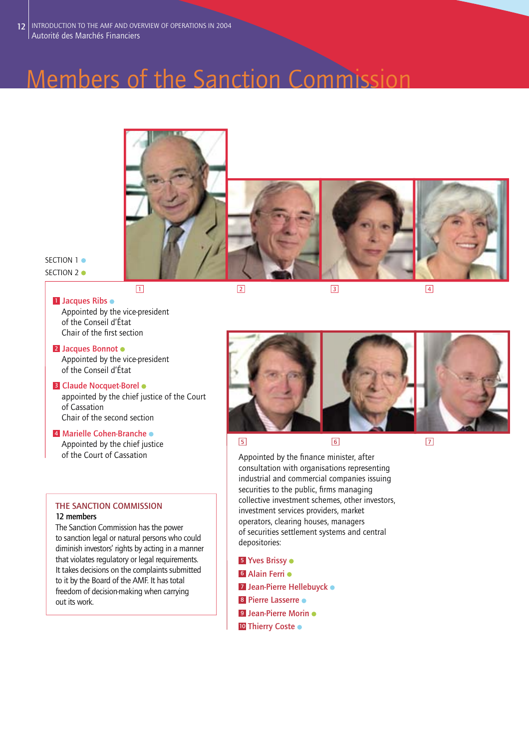# Members of the Sanction Commission



SECTION 1  $\bullet$ SECTION 2  $\bullet$ 

**<sup>1</sup> Jacques Ribs**  Appointed by the vice-president of the Conseil d'État Chair of the first section

**<sup>2</sup> Jacques Bonnot** Appointed by the vice-president of the Conseil d'État

# **<sup>3</sup> Claude Nocquet-Borel**

appointed by the chief justice of the Court of Cassation Chair of the second section

**<sup>4</sup> Marielle Cohen-Branche** Appointed by the chief justice

# **THE SANCTION COMMISSION 12 members**

The Sanction Commission has the power to sanction legal or natural persons who could diminish investors' rights by acting in a manner that violates regulatory or legal requirements. It takes decisions on the complaints submitted to it by the Board of the AMF. It has total freedom of decision-making when carrying out its work.

**1 23 4**



of the Court of Cassation Appointed by the finance minister, after consultation with organisations representing industrial and commercial companies issuing securities to the public, firms managing collective investment schemes, other investors, investment services providers, market operators, clearing houses, managers of securities settlement systems and central depositories:

- **<sup>5</sup> Yves Brissy**
- **<sup>6</sup> Alain Ferri**
- **<sup>7</sup> Jean-Pierre Hellebuyck**
- **<sup>8</sup> Pierre Lasserre**
- **<sup>9</sup> Jean-Pierre Morin**
- **<sup>10</sup> Thierry Coste**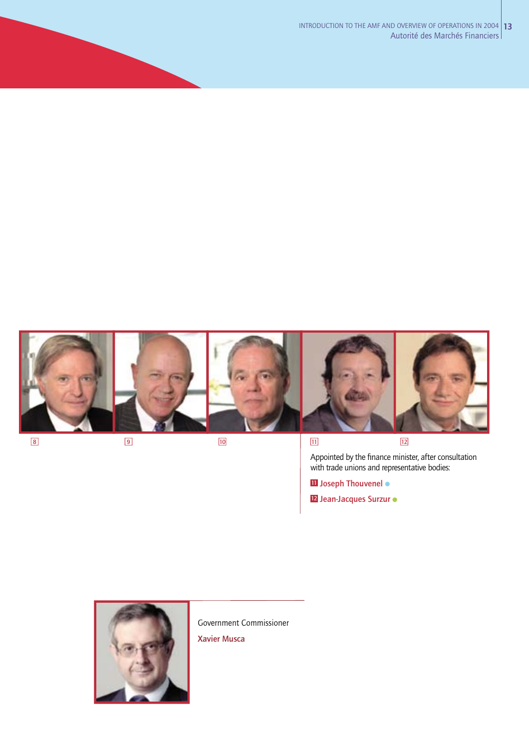

**8 9 10 11 11 11** Appointed by the finance minister, after consultation with trade unions and representative bodies:

**<sup>11</sup> Joseph Thouvenel**

**<sup>12</sup> Jean-Jacques Surzur**



Government Commissioner **Xavier Musca**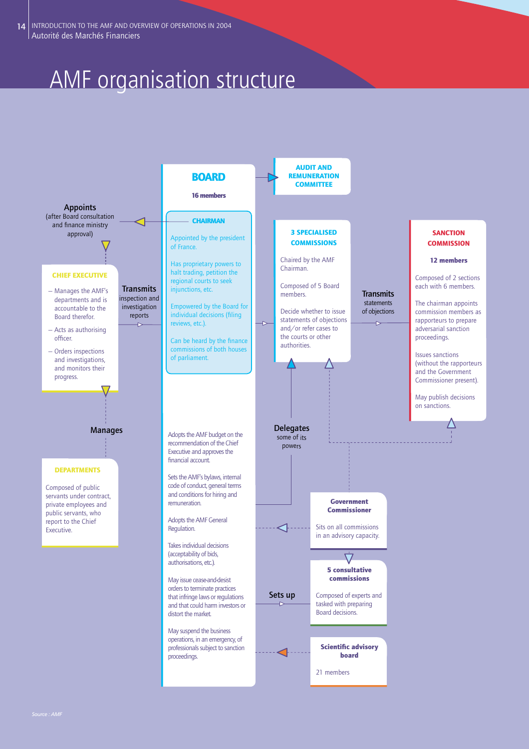# AMF organisation structure



w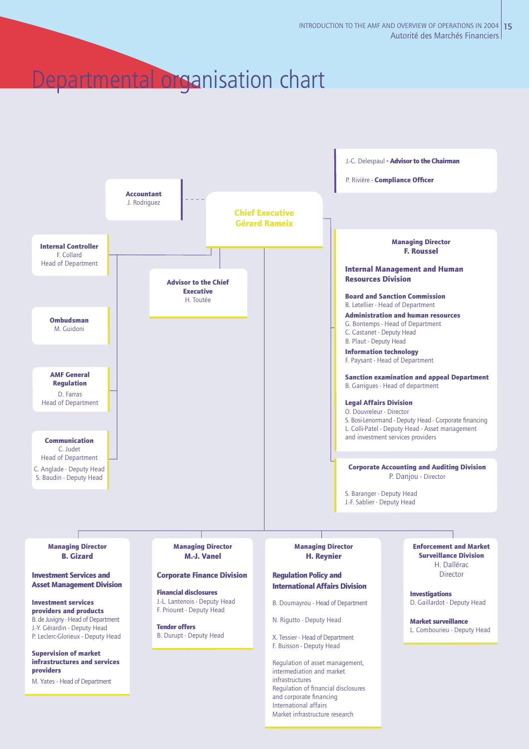# Departmental organisation chart

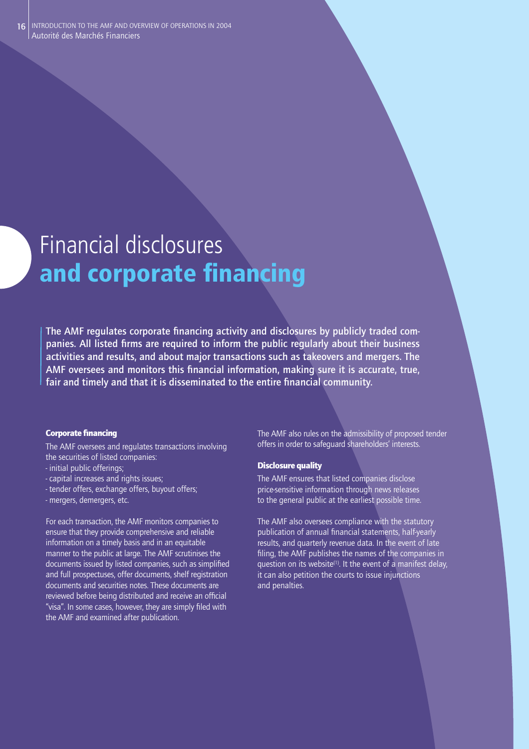# Financial disclosures **and corporate financing**

The AMF regulates corporate financing activity and disclosures by publicly traded companies. All listed firms are required to inform the public reqularly about their business **activities and results, and about major transactions such as takeovers and mergers. The**  AMF oversees and monitors this financial information, making sure it is accurate, true, fair and timely and that it is disseminated to the entire financial community.

### **Corporate financing**

The AMF oversees and regulates transactions involving the securities of listed companies:

- initial public offerings;
- capital increases and rights issues;
- tender offers, exchange offers, buyout offers;
- mergers, demergers, etc.

For each transaction, the AMF monitors companies to ensure that they provide comprehensive and reliable information on a timely basis and in an equitable manner to the public at large. The AMF scrutinises the documents issued by listed companies, such as simplified and full prospectuses, offer documents, shelf registration documents and securities notes. These documents are reviewed before being distributed and receive an official "visa". In some cases, however, they are simply filed with the AMF and examined after publication.

The AMF also rules on the admissibility of proposed tender offers in order to safeguard shareholders' interests.

# Disclosure quality

The AMF ensures that listed companies disclose price-sensitive information through news releases to the general public at the earliest possible time.

The AMF also oversees compliance with the statutory publication of annual financial statements, half-yearly results, and quarterly revenue data. In the event of late filing, the AMF publishes the names of the companies in question on its website<sup> $(1)$ </sup>. It the event of a manifest delay, it can also petition the courts to issue injunctions and penalties.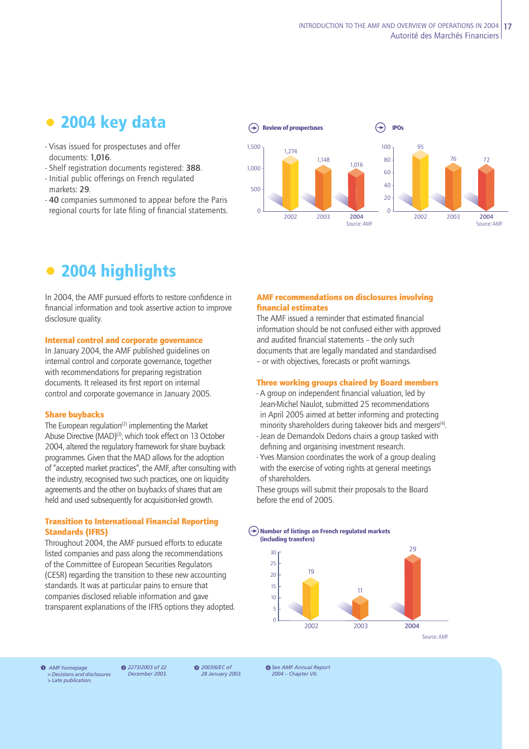# **• 2004 key data**

- Visas issued for prospectuses and offer documents: **1,016**.
- Shelf registration documents registered: **388**.
- Initial public offerings on French regulated markets: **29**.
- **40** companies summoned to appear before the Paris regional courts for late filing of financial statements.



# **• 2004 highlights**

In 2004, the AMF pursued efforts to restore confidence in financial information and took assertive action to improve disclosure quality.

# Internal control and corporate governance

In January 2004, the AMF published guidelines on internal control and corporate governance, together with recommendations for preparing registration documents. It released its first report on internal control and corporate governance in January 2005.

### Share buybacks

The European regulation<sup>(2)</sup> implementing the Market Abuse Directive (MAD)(3), which took effect on 13 October 2004, altered the regulatory framework for share buyback programmes. Given that the MAD allows for the adoption of "accepted market practices", the AMF, after consulting with the industry, recognised two such practices, one on liquidity agreements and the other on buybacks of shares that are held and used subsequently for acquisition-led growth.

# Transition to International Financial Reporting Standards (IFRS)

Throughout 2004, the AMF pursued efforts to educate listed companies and pass along the recommendations of the Committee of European Securities Regulators (CESR) regarding the transition to these new accounting standards. It was at particular pains to ensure that companies disclosed reliable information and gave transparent explanations of the IFRS options they adopted.

# AMF recommendations on disclosures involving financial estimates

The AMF issued a reminder that estimated financial information should be not confused either with approved and audited financial statements - the only such documents that are legally mandated and standardised – or with objectives, forecasts or profi t warnings.

### Three working groups chaired by Board members

- A group on independent financial valuation, led by Jean-Michel Naulot, submitted 25 recommendations in April 2005 aimed at better informing and protecting minority shareholders during takeover bids and mergers<sup>(4)</sup>.
- Jean de Demandolx Dedons chairs a group tasked with defining and organising investment research.
- Yves Mansion coordinates the work of a group dealing with the exercise of voting rights at general meetings of shareholders.

These groups will submit their proposals to the Board before the end of 2005.

### **Number of listings on French regulated markets** u **(including transfers)**



**1** AMF homepage **a 2** 2273/2003 of 22 **a**<br> **2** > Decisions and disclosures *December 2003*. *> Late publication.*

*2273/2003 of 22 December 2003.*

 *2003/6/EC of 28 January 2003.* **<sup>4</sup>** See AMF Annual Report *2004 – Chapter VII.*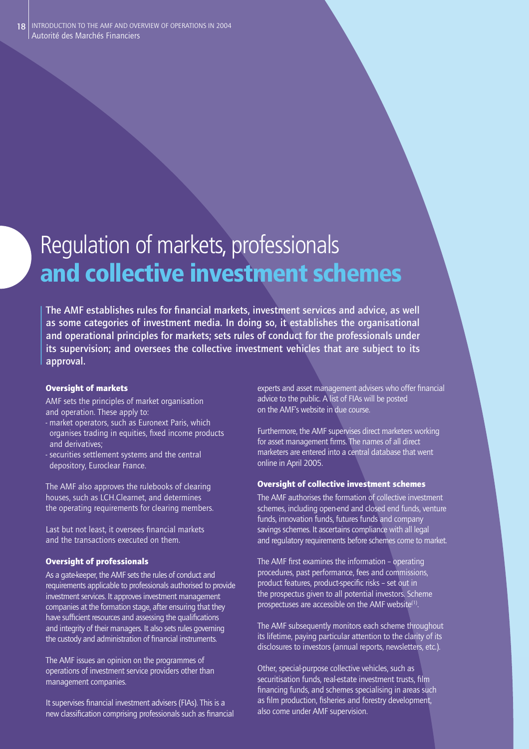# Regulation of markets, professionals **and collective investment schemes**

The AMF establishes rules for financial markets, investment services and advice, as well **as some categories of investment media. In doing so, it establishes the organisational and operational principles for markets; sets rules of conduct for the professionals under its supervision; and oversees the collective investment vehicles that are subject to its approval.** 

# Oversight of markets

AMF sets the principles of market organisation and operation. These apply to:

- market operators, such as Euronext Paris, which organises trading in equities, fixed income products and derivatives;
- securities settlement systems and the central depository, Euroclear France.

The AMF also approves the rulebooks of clearing houses, such as LCH.Clearnet, and determines the operating requirements for clearing members.

Last but not least, it oversees financial markets and the transactions executed on them.

# Oversight of professionals

As a gate-keeper, the AMF sets the rules of conduct and requirements applicable to professionals authorised to provide investment services. It approves investment management companies at the formation stage, after ensuring that they have sufficient resources and assessing the qualifications and integrity of their managers. It also sets rules governing the custody and administration of financial instruments.

The AMF issues an opinion on the programmes of operations of investment service providers other than management companies.

It supervises financial investment advisers (FIAs). This is a new classification comprising professionals such as financial experts and asset management advisers who offer financial advice to the public. A list of FIAs will be posted on the AMF's website in due course.

Furthermore, the AMF supervises direct marketers working for asset management firms. The names of all direct marketers are entered into a central database that went online in April 2005.

# Oversight of collective investment schemes

The AMF authorises the formation of collective investment schemes, including open-end and closed end funds, venture funds, innovation funds, futures funds and company savings schemes. It ascertains compliance with all legal and regulatory requirements before schemes come to market.

The AMF first examines the information - operating procedures, past performance, fees and commissions, product features, product-specific risks - set out in the prospectus given to all potential investors. Scheme prospectuses are accessible on the AMF website<sup>(1)</sup>.

The AMF subsequently monitors each scheme throughout its lifetime, paying particular attention to the clarity of its disclosures to investors (annual reports, newsletters, etc.).

Other, special-purpose collective vehicles, such as securitisation funds, real-estate investment trusts, film financing funds, and schemes specialising in areas such as film production, fisheries and forestry development, also come under AMF supervision.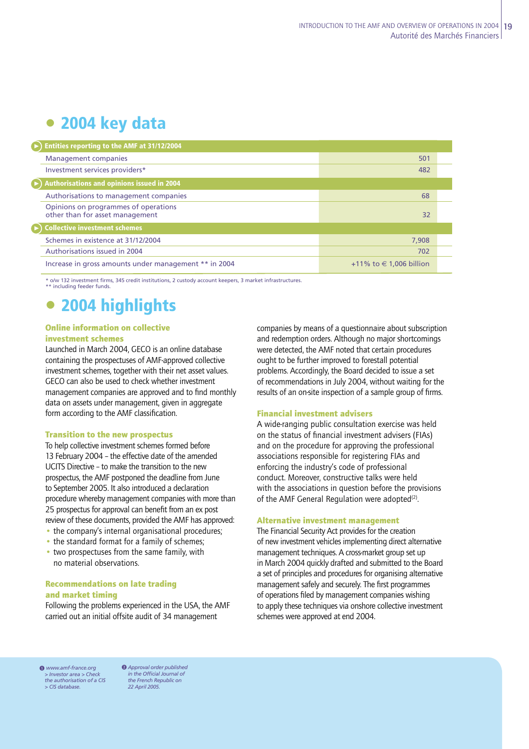# **• 2004 key data**

| $\cdot$ ) Entities reporting to the AMF at 31/12/2004                   |                             |  |
|-------------------------------------------------------------------------|-----------------------------|--|
| <b>Management companies</b>                                             | 501                         |  |
| Investment services providers*                                          | 482                         |  |
| $\blacktriangleright$ ) Authorisations and opinions issued in 2004      |                             |  |
| Authorisations to management companies                                  | 68                          |  |
| Opinions on programmes of operations<br>other than for asset management | 32                          |  |
| $\blacktriangleright$ ) Collective investment schemes                   |                             |  |
| Schemes in existence at 31/12/2004                                      | 7,908                       |  |
| Authorisations issued in 2004                                           | 702                         |  |
| Increase in gross amounts under management ** in 2004                   | +11% to $\in$ 1,006 billion |  |

\* o/w 132 investment fi rms, 345 credit institutions, 2 custody account keepers, 3 market infrastructures. \*\* including feeder funds

# **• 2004 highlights**

# Online information on collective

# investment schemes

Launched in March 2004, GECO is an online database containing the prospectuses of AMF-approved collective investment schemes, together with their net asset values. GECO can also be used to check whether investment management companies are approved and to find monthly data on assets under management, given in aggregate form according to the AMF classification.

### Transition to the new prospectus

To help collective investment schemes formed before 13 February 2004 – the effective date of the amended UCITS Directive – to make the transition to the new prospectus, the AMF postponed the deadline from June to September 2005. It also introduced a declaration procedure whereby management companies with more than 25 prospectus for approval can benefit from an ex post review of these documents, provided the AMF has approved:

- the company's internal organisational procedures;
- the standard format for a family of schemes:
- two prospectuses from the same family, with no material observations.

# Recommendations on late trading and market timing

Following the problems experienced in the USA, the AMF carried out an initial offsite audit of 34 management

companies by means of a questionnaire about subscription and redemption orders. Although no major shortcomings were detected, the AMF noted that certain procedures ought to be further improved to forestall potential problems. Accordingly, the Board decided to issue a set of recommendations in July 2004, without waiting for the results of an on-site inspection of a sample group of firms.

## Financial investment advisers

A wide-ranging public consultation exercise was held on the status of financial investment advisers (FIAs) and on the procedure for approving the professional associations responsible for registering FIAs and enforcing the industry's code of professional conduct. Moreover, constructive talks were held with the associations in question before the provisions of the AMF General Regulation were adopted $(2)$ .

### Alternative investment management

The Financial Security Act provides for the creation of new investment vehicles implementing direct alternative management techniques. A cross-market group set up in March 2004 quickly drafted and submitted to the Board a set of principles and procedures for organising alternative management safely and securely. The first programmes of operations filed by management companies wishing to apply these techniques via onshore collective investment schemes were approved at end 2004.

**0** www.amf-france.org **0** *> Investor area > Check the authorisation of a CIS > CIS database.*

*Approval order published in the Offi cial Journal of the French Republic on 22 April 2005.*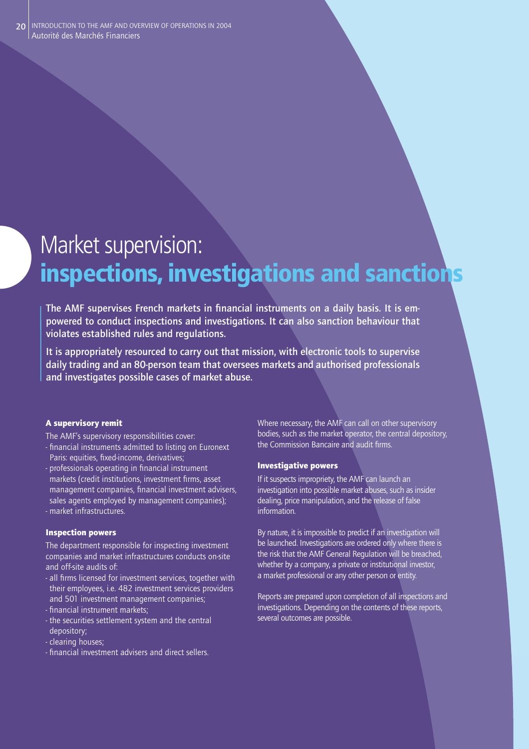# Market supervision: **inspections, investigations and sanctions**

The AMF supervises French markets in financial instruments on a daily basis. It is em**powered to conduct inspections and investigations. It can also sanction behaviour that violates established rules and regulations.**

**It is appropriately resourced to carry out that mission, with electronic tools to supervise daily trading and an 80-person team that oversees markets and authorised professionals and investigates possible cases of market abuse.**

# A supervisory remit

The AMF's supervisory responsibilities cover:

- financial instruments admitted to listing on Euronext Paris: equities, fixed-income, derivatives;
- professionals operating in financial instrument markets (credit institutions, investment firms, asset management companies, financial investment advisers, sales agents employed by management companies); - market infrastructures.

## Inspection powers

The department responsible for inspecting investment companies and market infrastructures conducts on-site and off-site audits of:

- all firms licensed for investment services, together with their employees, i.e. 482 investment services providers and 501 investment management companies;
- financial instrument markets;
- the securities settlement system and the central depository;
- clearing houses;
- fi nancial investment advisers and direct sellers.

Where necessary, the AMF can call on other supervisory bodies, such as the market operator, the central depository, the Commission Bancaire and audit firms.

## Investigative powers

If it suspects impropriety, the AMF can launch an investigation into possible market abuses, such as insider dealing, price manipulation, and the release of false information.

By nature, it is impossible to predict if an investigation will be launched. Investigations are ordered only where there is the risk that the AMF General Regulation will be breached, whether by a company, a private or institutional investor, a market professional or any other person or entity.

Reports are prepared upon completion of all inspections and investigations. Depending on the contents of these reports, several outcomes are possible.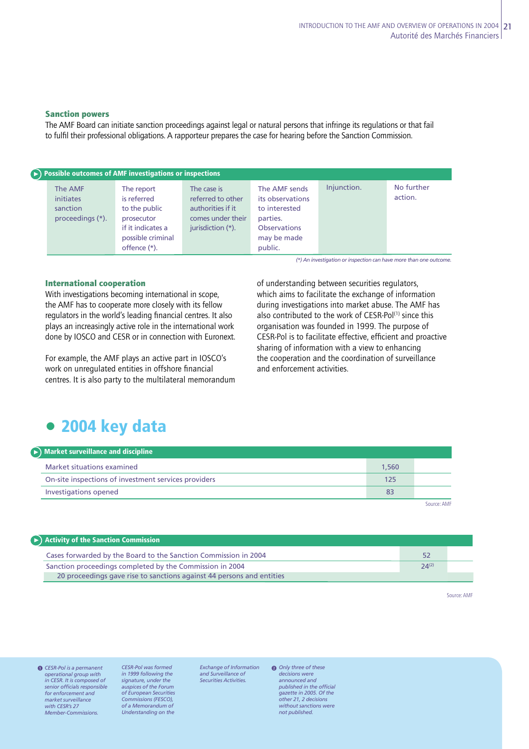# Sanction powers

The AMF Board can initiate sanction proceedings against legal or natural persons that infringe its regulations or that fail to fulfi l their professional obligations. A rapporteur prepares the case for hearing before the Sanction Commission.

| $\left(\rightarrow\right)$ Possible outcomes of AMF investigations or inspections |                                                                                                                    |                                                                                                 |                                                                                                                 |             |                       |  |  |  |
|-----------------------------------------------------------------------------------|--------------------------------------------------------------------------------------------------------------------|-------------------------------------------------------------------------------------------------|-----------------------------------------------------------------------------------------------------------------|-------------|-----------------------|--|--|--|
| The AMF<br>initiates<br>sanction<br>proceedings (*).                              | The report<br>is referred<br>to the public<br>prosecutor<br>if it indicates a<br>possible criminal<br>offence (*). | The case is<br>referred to other<br>authorities if it<br>comes under their<br>jurisdiction (*). | The AMF sends<br>its observations<br>to interested<br>parties.<br><b>Observations</b><br>may be made<br>public. | Injunction. | No further<br>action. |  |  |  |

*(\*)* An investigation or inspection can have more than one outcome.

### International cooperation

With investigations becoming international in scope, the AMF has to cooperate more closely with its fellow regulators in the world's leading financial centres. It also plays an increasingly active role in the international work done by IOSCO and CESR or in connection with Euronext.

For example, the AMF plays an active part in IOSCO's work on unregulated entities in offshore financial centres. It is also party to the multilateral memorandum of understanding between securities regulators, which aims to facilitate the exchange of information during investigations into market abuse. The AMF has also contributed to the work of CESR-Pol<sup>(1)</sup> since this organisation was founded in 1999. The purpose of CESR-Pol is to facilitate effective, efficient and proactive sharing of information with a view to enhancing the cooperation and the coordination of surveillance and enforcement activities.

# **• 2004 key data**

| $\blacktriangleright$ ) Market surveillance and discipline |       |             |
|------------------------------------------------------------|-------|-------------|
| Market situations examined                                 | 1,560 |             |
| On-site inspections of investment services providers       | 125   |             |
| Investigations opened                                      | 83    |             |
|                                                            |       | Source: AMF |

| Activity of the Sanction Commission                                   |            |  |
|-----------------------------------------------------------------------|------------|--|
| Cases forwarded by the Board to the Sanction Commission in 2004       |            |  |
| Sanction proceedings completed by the Commission in 2004              | $24^{(2)}$ |  |
| 20 proceedings gave rise to sanctions against 44 persons and entities |            |  |

Source: AMF

*CESR-Pol is a permanent*  1 *operational group with in CESR. It is composed of senior offi cials responsible for enforcement and market surveillance with CESR's 27 Member-Commissions.* 

*CESR-Pol was formed in 1999 following the signature, under the auspices of the Forum of European Securities Commissions (FESCO), of a Memorandum of Understanding on the* 

*Exchange of Information and Surveillance of Securities Activities.*

*Only three of these*  2 *decisions were announced and published in the official gazette in 2005. Of the other 21, 2 decisions without sanctions were not published.*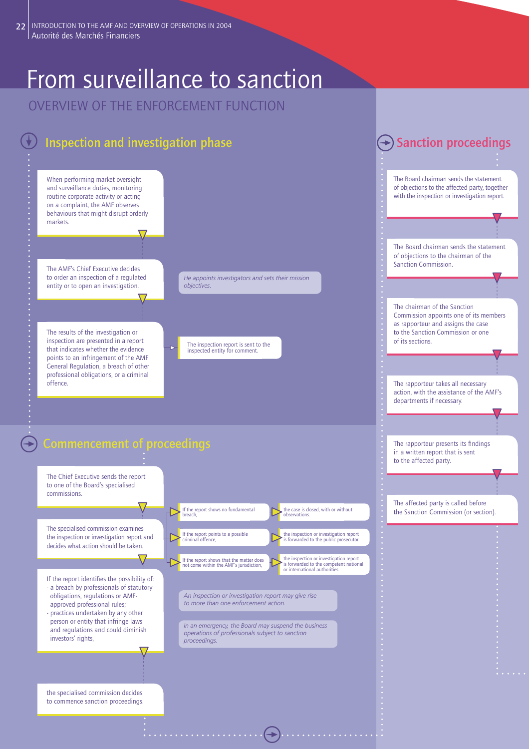# From surveillance to sanction

OVERVIEW OF THE ENFORCEMENT FUNCTION

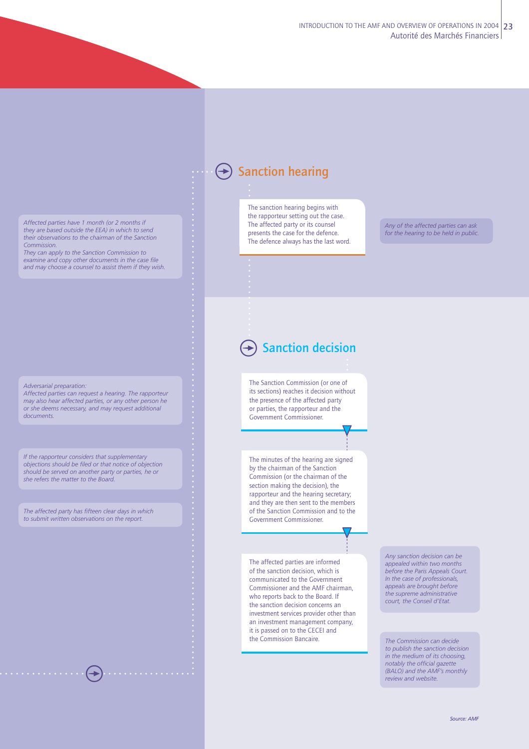*Affected parties have 1 month (or 2 months if they are based outside the EEA) in which to send their observations to the chairman of the Sanction Commission.*

*They can apply to the Sanction Commission to examine and copy other documents in the case file and may choose a counsel to assist them if they wish.*

*Adversarial preparation:*

*Affected parties can request a hearing. The rapporteur may also hear affected parties, or any other person he or she deems necessary, and may request additional documents.*

*If the rapporteur considers that supplementary objections should be fi led or that notice of objection should be served on another party or parties, he or she refers the matter to the Board.*

*The affected party has fi fteen clear days in which to submit written observations on the report.*

 $\bigoplus$ 

# **← Sanction hearing**

The sanction hearing begins with the rapporteur setting out the case. The affected party or its counsel presents the case for the defence. The defence always has the last word.

*Any of the affected parties can ask for the hearing to be held in public.*

# **→ Sanction decision**

The Sanction Commission (or one of its sections) reaches it decision without the presence of the affected party or parties, the rapporteur and the Government Commissioner.

The minutes of the hearing are signed by the chairman of the Sanction Commission (or the chairman of the section making the decision), the rapporteur and the hearing secretary; and they are then sent to the members of the Sanction Commission and to the Government Commissioner.

The affected parties are informed of the sanction decision, which is communicated to the Government Commissioner and the AMF chairman, who reports back to the Board. If the sanction decision concerns an investment services provider other than an investment management company, it is passed on to the CECEI and the Commission Bancaire.

*Any sanction decision can be appealed within two months before the Paris Appeals Court. In the case of professionals, appeals are brought before the supreme administrative court, the Conseil d'Etat.*

*The Commission can decide to publish the sanction decision in the medium of its choosing, notably the official gazette (BALO) and the AMF's monthly review and website.*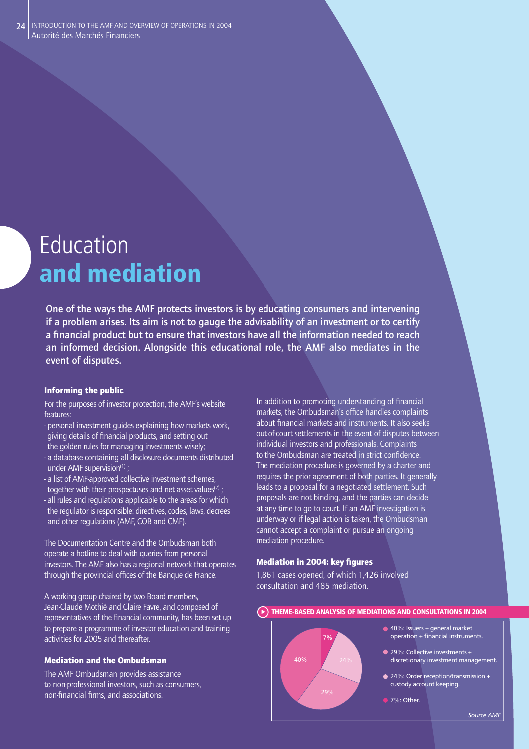# Education **and mediation**

**One of the ways the AMF protects investors is by educating consumers and intervening if a problem arises. Its aim is not to gauge the advisability of an investment or to certify**  a financial product but to ensure that investors have all the information needed to reach **an informed decision. Alongside this educational role, the AMF also mediates in the event of disputes.** 

# Informing the public

- For the purposes of investor protection, the AMF's website features:
- personal investment guides explaining how markets work, giving details of financial products, and setting out
- the golden rules for managing investments wisely; - a database containing all disclosure documents distributed
- under AMF supervision<sup>(1)</sup>;
- a list of AMF-approved collective investment schemes, together with their prospectuses and net asset values<sup>(2)</sup>; - all rules and regulations applicable to the areas for which the regulator is responsible: directives, codes, laws, decrees
- and other regulations (AMF, COB and CMF).

The Documentation Centre and the Ombudsman both operate a hotline to deal with queries from personal investors. The AMF also has a regional network that operates through the provincial offices of the Banque de France.

A working group chaired by two Board members, Jean-Claude Mothié and Claire Favre, and composed of representatives of the financial community, has been set up to prepare a programme of investor education and training activities for 2005 and thereafter.

# Mediation and the Ombudsman

The AMF Ombudsman provides assistance to non-professional investors, such as consumers, non-financial firms, and associations.

In addition to promoting understanding of financial markets, the Ombudsman's office handles complaints about financial markets and instruments. It also seeks out-of-court settlements in the event of disputes between individual investors and professionals. Complaints to the Ombudsman are treated in strict confidence. The mediation procedure is governed by a charter and requires the prior agreement of both parties. It generally leads to a proposal for a negotiated settlement. Such proposals are not binding, and the parties can decide at any time to go to court. If an AMF investigation is underway or if legal action is taken, the Ombudsman cannot accept a complaint or pursue an ongoing mediation procedure.

# **Mediation in 2004: key figures**

1,861 cases opened, of which 1,426 involved consultation and 485 mediation.

## **THEME-BASED ANALYSIS OF MEDIATIONS AND CONSULTATIONS IN 2004**

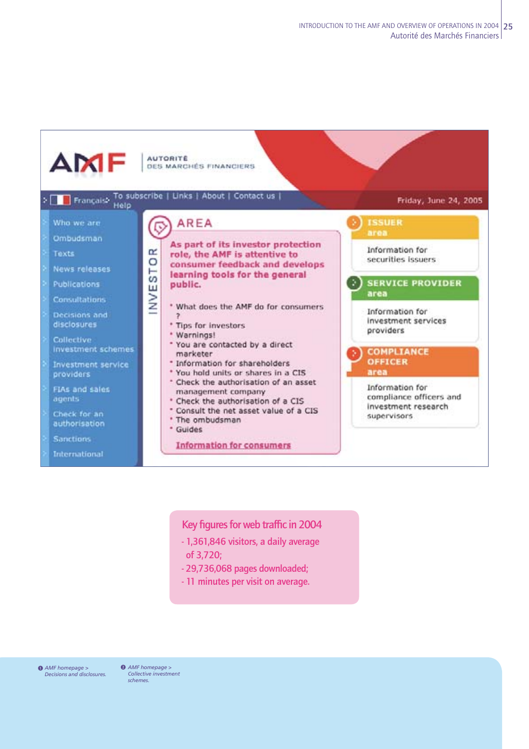

Key figures for web traffic in 2004

- **1,361,846 visitors, a daily average of 3,720;**
- **29,736,068 pages downloaded;**
- **11 minutes per visit on average.**

**0** AMF homepage > **0** *Decisions and disclosures.*

*AMF homepage > Collective investment schemes.*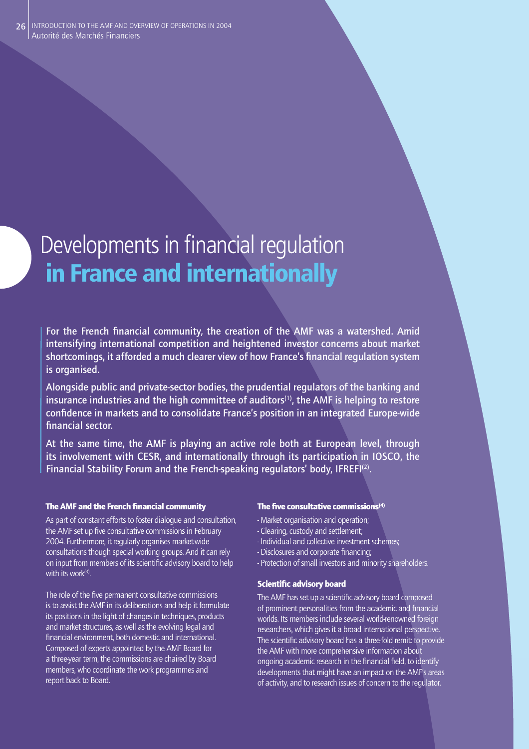# Developments in financial regulation  **in France and internationally**

For the French financial community, the creation of the AMF was a watershed. Amid **intensifying international competition and heightened investor concerns about market**  shortcomings, it afforded a much clearer view of how France's financial regulation system **is organised.** 

**Alongside public and private-sector bodies, the prudential regulators of the banking and insurance industries and the high committee of auditors(1), the AMF is helping to restore**  confidence in markets and to consolidate France's position in an integrated Europe-wide financial sector.

**At the same time, the AMF is playing an active role both at European level, through its involvement with CESR, and internationally through its participation in IOSCO, the Financial Stability Forum and the French-speaking regulators' body, IFREFI(2).**

## The AMF and the French financial community

As part of constant efforts to foster dialogue and consultation, the AMF set up five consultative commissions in February 2004. Furthermore, it regularly organises market-wide consultations though special working groups. And it can rely on input from members of its scientific advisory board to help with its work $(3)$ .

The role of the five permanent consultative commissions is to assist the AMF in its deliberations and help it formulate its positions in the light of changes in techniques, products and market structures, as well as the evolving legal and financial environment, both domestic and international. Composed of experts appointed by the AMF Board for a three-year term, the commissions are chaired by Board members, who coordinate the work programmes and report back to Board.

### The five consultative commissions $(4)$

- Market organisation and operation;
- Clearing, custody and settlement;
- Individual and collective investment schemes;
- Disclosures and corporate financing:
- Protection of small investors and minority shareholders.

### Scientific advisory board

The AMF has set up a scientific advisory board composed of prominent personalities from the academic and financial worlds. Its members include several world-renowned foreign researchers, which gives it a broad international perspective. The scientific advisory board has a three-fold remit: to provide the AMF with more comprehensive information about ongoing academic research in the financial field, to identify developments that might have an impact on the AMF's areas of activity, and to research issues of concern to the regulator.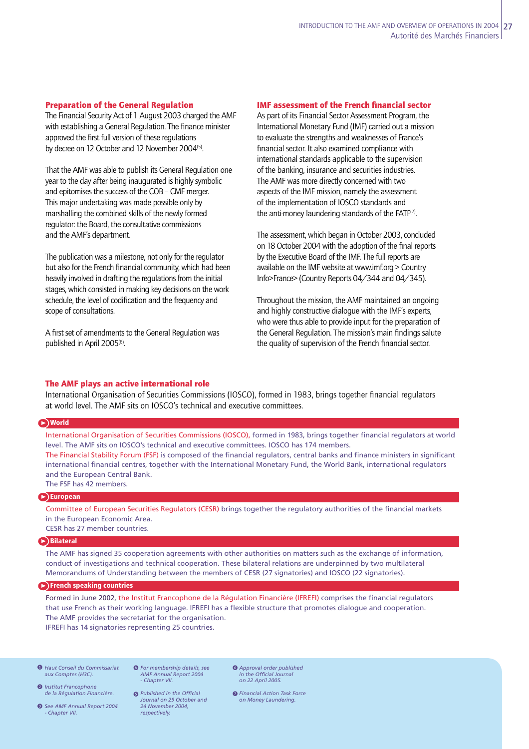# Preparation of the General Regulation

The Financial Security Act of 1 August 2003 charged the AMF with establishing a General Regulation. The finance minister approved the first full version of these regulations by decree on 12 October and 12 November 2004<sup>(5)</sup>.

That the AMF was able to publish its General Regulation one year to the day after being inaugurated is highly symbolic and epitomises the success of the COB - CMF merger. This major undertaking was made possible only by marshalling the combined skills of the newly formed regulator: the Board, the consultative commissions and the AMF's department.

The publication was a milestone, not only for the regulator but also for the French financial community, which had been heavily involved in drafting the regulations from the initial stages, which consisted in making key decisions on the work schedule, the level of codification and the frequency and scope of consultations.

A first set of amendments to the General Regulation was published in April 2005<sup>(6)</sup>. .

# **IMF assessment of the French financial sector**

As part of its Financial Sector Assessment Program, the International Monetary Fund (IMF) carried out a mission to evaluate the strengths and weaknesses of France's financial sector. It also examined compliance with international standards applicable to the supervision of the banking, insurance and securities industries. The AMF was more directly concerned with two aspects of the IMF mission, namely the assessment of the implementation of IOSCO standards and f the anti-money laundering standards of the FAT $F(7)$ . .

The assessment, which began in October 2003, concluded on 18 October 2004 with the adoption of the final reports by the Executive Board of the IMF. The full reports are available on the IMF website at www.imf.org  $>$  Country Info>France> (Country Reports 04/344 and 04/345).

Throughout the mission, the AMF maintained an ongoing and highly constructive dialoque with the IMF's experts, who were thus able to provide input for the preparation of the General Regulation. The mission's main findings salute the quality of supervision of the French financial sector.

## The AMF plays an active international role

International Organisation of Securities Commissions (IOSCO), formed in 1983, brings together financial regulators at world level. The AMF sits on IOSCO's technical and executive committees.

## **World**

International Organisation of Securities Commissions (IOSCO), formed in 1983, brings together financial regulators at world level. The AMF sits on IOSCO's technical and executive committees. IOSCO has 174 members. The Financial Stability Forum (FSF) is composed of the financial regulators, central banks and finance ministers in significant international financial centres, together with the International Monetary Fund, the World Bank, international regulators and the European Central Bank. The FSF has 42 members.

### **European**

Committee of European Securities Regulators (CESR) brings together the regulatory authorities of the financial markets in the European Economic Area. CESR has 27 member countries.

## **Bilateral**

The AMF has signed 35 cooperation agreements with other authorities on matters such as the exchange of information, conduct of investigations and technical cooperation. These bilateral relations are underpinned by two multilateral Memorandums of Understanding between the members of CESR (27 signatories) and IOSCO (22 signatories).

### **French speaking countries**

Formed in June 2002, the Institut Francophone de la Régulation Financière (IFREFI) comprises the financial regulators that use French as their working language. IFREFI has a flexible structure that promotes dialogue and cooperation. The AMF provides the secretariat for the organisation. IFREFI has 14 signatories representing 25 countries.

*Haut Conseil du Commissariat*  1 *For membership details, see aux Comptes (H3C).*

**<sup>2</sup>** Institut Francophone *de la Régulation Financière.*

*See AMF Annual Report 2004*  3 *- Chapter VII.*

*AMF Annual Report 2004 - Chapter VII.* **6** For membership details, see

*24 November 2004, respectively.*

**6** Published in the Official *Journal on 29 October and* 

*Approval order published*  6 *in the Official Journal on 22 April 2005.*

**O** Financial Action Task Force *on Money Laundering.*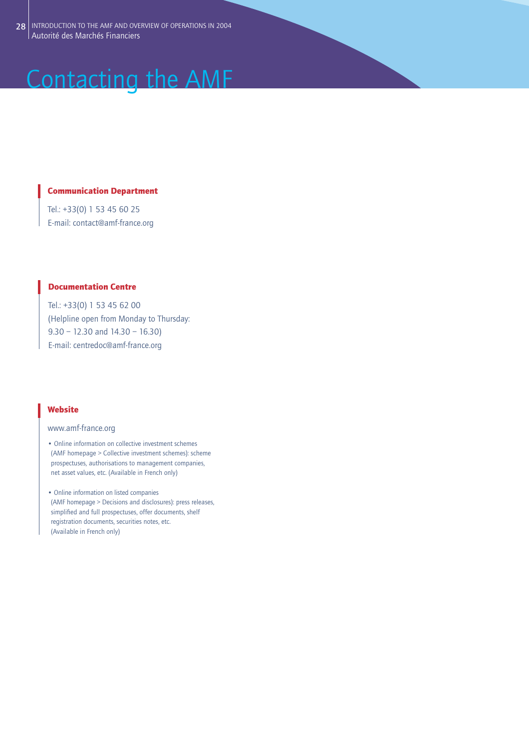# Contacting the AMF

# Communication Department

Tel.: +33(0) 1 53 45 60 25 E-mail: contact@amf-france.org

# Documentation Centre

Tel.: +33(0) 1 53 45 62 00 (Helpline open from Monday to Thursday: 9.30 – 12.30 and 14.30 – 16.30) E-mail: centredoc@amf-france.org

# **Website**

# www.amf-france.org

- Online information on collective investment schemes (AMF homepage > Collective investment schemes): scheme prospectuses, authorisations to management companies, net asset values, etc. (Available in French only)
- Online information on listed companies (AMF homepage > Decisions and disclosures): press releases, simplified and full prospectuses, offer documents, shelf registration documents, securities notes, etc. (Available in French only)